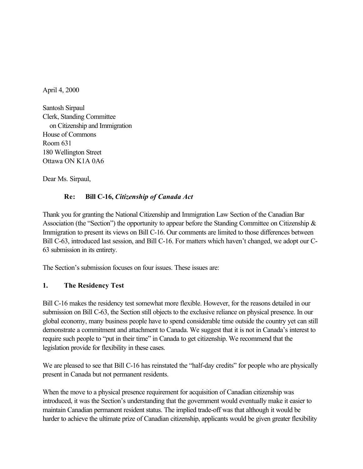April 4, 2000

Santosh Sirpaul Clerk, Standing Committee on Citizenship and Immigration House of Commons Room 631 180 Wellington Street Ottawa ON K1A 0A6

Dear Ms. Sirpaul,

# **Re: Bill C-16,** *Citizenship of Canada Act*

Thank you for granting the National Citizenship and Immigration Law Section of the Canadian Bar Association (the "Section") the opportunity to appear before the Standing Committee on Citizenship & Immigration to present its views on Bill C-16. Our comments are limited to those differences between Bill C-63, introduced last session, and Bill C-16. For matters which haven't changed, we adopt our C-63 submission in its entirety.

The Section's submission focuses on four issues. These issues are:

## **1. The Residency Test**

Bill C-16 makes the residency test somewhat more flexible. However, for the reasons detailed in our submission on Bill C-63, the Section still objects to the exclusive reliance on physical presence. In our global economy, many business people have to spend considerable time outside the country yet can still demonstrate a commitment and attachment to Canada. We suggest that it is not in Canada's interest to require such people to "put in their time" in Canada to get citizenship. We recommend that the legislation provide for flexibility in these cases.

We are pleased to see that Bill C-16 has reinstated the "half-day credits" for people who are physically present in Canada but not permanent residents.

When the move to a physical presence requirement for acquisition of Canadian citizenship was introduced, it was the Section's understanding that the government would eventually make it easier to maintain Canadian permanent resident status. The implied trade-off was that although it would be harder to achieve the ultimate prize of Canadian citizenship, applicants would be given greater flexibility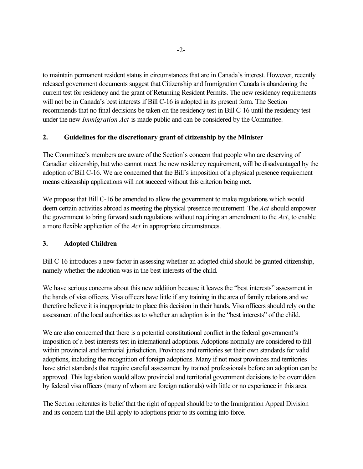to maintain permanent resident status in circumstances that are in Canada's interest. However, recently released government documents suggest that Citizenship and Immigration Canada is abandoning the current test for residency and the grant of Returning Resident Permits. The new residency requirements will not be in Canada's best interests if Bill C-16 is adopted in its present form. The Section recommends that no final decisions be taken on the residency test in Bill C-16 until the residency test under the new *Immigration Act* is made public and can be considered by the Committee.

## **2. Guidelines for the discretionary grant of citizenship by the Minister**

The Committee's members are aware of the Section's concern that people who are deserving of Canadian citizenship, but who cannot meet the new residency requirement, will be disadvantaged by the adoption of Bill C-16. We are concerned that the Bill's imposition of a physical presence requirement means citizenship applications will not succeed without this criterion being met.

We propose that Bill C-16 be amended to allow the government to make regulations which would deem certain activities abroad as meeting the physical presence requirement. The *Act* should empower the government to bring forward such regulations without requiring an amendment to the *Act*, to enable a more flexible application of the *Act* in appropriate circumstances.

### **3. Adopted Children**

Bill C-16 introduces a new factor in assessing whether an adopted child should be granted citizenship, namely whether the adoption was in the best interests of the child.

We have serious concerns about this new addition because it leaves the "best interests" assessment in the hands of visa officers. Visa officers have little if any training in the area of family relations and we therefore believe it is inappropriate to place this decision in their hands. Visa officers should rely on the assessment of the local authorities as to whether an adoption is in the "best interests" of the child.

We are also concerned that there is a potential constitutional conflict in the federal government's imposition of a best interests test in international adoptions. Adoptions normally are considered to fall within provincial and territorial jurisdiction. Provinces and territories set their own standards for valid adoptions, including the recognition of foreign adoptions. Many if not most provinces and territories have strict standards that require careful assessment by trained professionals before an adoption can be approved. This legislation would allow provincial and territorial government decisions to be overridden by federal visa officers (many of whom are foreign nationals) with little or no experience in this area.

The Section reiterates its belief that the right of appeal should be to the Immigration Appeal Division and its concern that the Bill apply to adoptions prior to its coming into force.